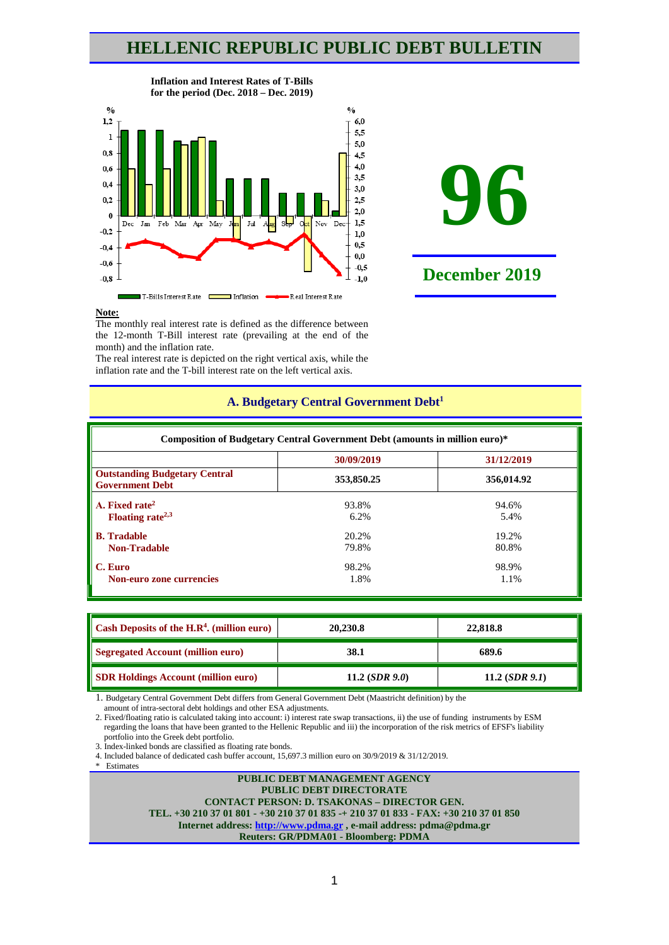## **HELLENIC REPUBLIC PUBLIC DEBT BULLETIN**



#### **Inflation and Interest Rates of T-Bills for the period (Dec. 2018 – Dec. 2019)**



#### **Note:**

The monthly real interest rate is defined as the difference between the 12-month T-Bill interest rate (prevailing at the end of the month) and the inflation rate.

The real interest rate is depicted on the right vertical axis, while the inflation rate and the T-bill interest rate on the left vertical axis.

| Composition of Budgetary Central Government Debt (amounts in million euro)* |            |            |  |  |  |  |  |
|-----------------------------------------------------------------------------|------------|------------|--|--|--|--|--|
| 30/09/2019<br>31/12/2019                                                    |            |            |  |  |  |  |  |
| <b>Outstanding Budgetary Central</b><br><b>Government Debt</b>              | 353,850.25 | 356,014.92 |  |  |  |  |  |
| A. Fixed rate <sup>2</sup>                                                  | 93.8%      | 94.6%      |  |  |  |  |  |
| Floating rate <sup><math>2,3</math></sup>                                   | 6.2%       | 5.4%       |  |  |  |  |  |
| <b>B.</b> Tradable                                                          | 20.2%      | 19.2%      |  |  |  |  |  |
| <b>Non-Tradable</b>                                                         | 79.8%      | 80.8%      |  |  |  |  |  |
| C. Euro                                                                     | 98.2%      | 98.9%      |  |  |  |  |  |
| Non-euro zone currencies                                                    | 1.8%       | 1.1%       |  |  |  |  |  |

## **A. Budgetary Central Government Debt1**

| Cash Deposits of the $H.R4$ . (million euro) | 20,230.8         | 22,818.8         |  |
|----------------------------------------------|------------------|------------------|--|
| <b>Segregated Account (million euro)</b>     | 38.1             | 689.6            |  |
| <b>SDR Holdings Account (million euro)</b>   | 11.2 $(SDR 9.0)$ | 11.2 $(SDR 9.1)$ |  |

1. Budgetary Central Government Debt differs from General Government Debt (Maastricht definition) by the

amount of intra-sectoral debt holdings and other ESA adjustments.

2. Fixed/floating ratio is calculated taking into account: i) interest rate swap transactions, ii) the use of funding instruments by ESM regarding the loans that have been granted to the Hellenic Republic and iii) the incorporation of the risk metrics of EFSF's liability portfolio into the Greek debt portfolio.

3. Index-linked bonds are classified as floating rate bonds.

4. Included balance of dedicated cash buffer account, 15,697.3 million euro οn 30/9/2019 & 31/12/2019. \* Estimates

**PUBLIC DEBT MANAGEMENT AGENCY PUBLIC DEBT DIRECTORATE CONTACT PERSON: D. TSAKONAS – DIRECTOR GEN. TEL. +30 210 37 01 801 - +30 210 37 01 835 -+ 210 37 01 833 - FAX: +30 210 37 01 850 Internet address: [http://www.pdma.gr](http://www.pdma.gr/) , e-mail address: pdma@pdma.gr Reuters: GR/PDMA01 - Bloomberg: PDMA**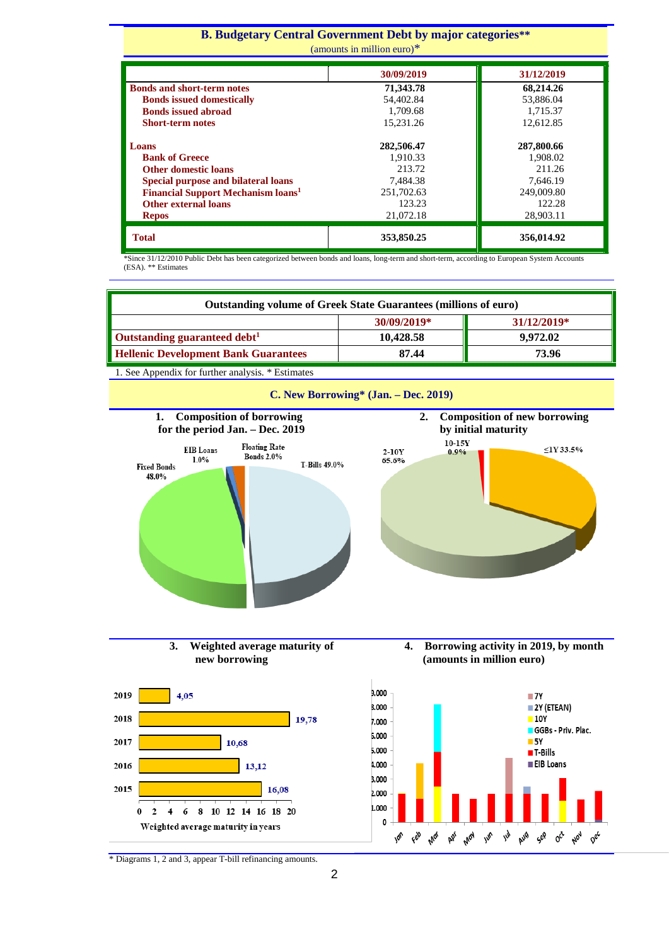#### **Β. Budgetary Central Government Debt by major categories\*\*** ounts in million euro) $*$

| amounts in miniton culo <i>f</i>                     |            |            |  |  |  |  |
|------------------------------------------------------|------------|------------|--|--|--|--|
|                                                      | 30/09/2019 | 31/12/2019 |  |  |  |  |
| <b>Bonds and short-term notes</b>                    | 71,343.78  | 68,214.26  |  |  |  |  |
| <b>Bonds issued domestically</b>                     | 54,402.84  | 53,886.04  |  |  |  |  |
| <b>Bonds issued abroad</b>                           | 1.709.68   | 1.715.37   |  |  |  |  |
| <b>Short-term notes</b>                              | 15.231.26  | 12,612.85  |  |  |  |  |
| Loans                                                | 282,506.47 | 287,800.66 |  |  |  |  |
| <b>Bank of Greece</b>                                | 1,910.33   | 1,908.02   |  |  |  |  |
| <b>Other domestic loans</b>                          | 213.72     | 211.26     |  |  |  |  |
| <b>Special purpose and bilateral loans</b>           | 7,484.38   | 7.646.19   |  |  |  |  |
| <b>Financial Support Mechanism loans<sup>1</sup></b> | 251,702.63 | 249,009.80 |  |  |  |  |
| <b>Other external loans</b>                          | 123.23     | 122.28     |  |  |  |  |
| <b>Repos</b>                                         | 21,072.18  | 28,903.11  |  |  |  |  |
| <b>Total</b>                                         | 353,850.25 | 356,014.92 |  |  |  |  |

\*Since 31/12/2010 Public Debt has been categorized between bonds and loans, long-term and short-term, according to European System Accounts (ESA). \*\* Estimates

| <b>Outstanding volume of Greek State Guarantees (millions of euro)</b> |           |          |  |  |  |
|------------------------------------------------------------------------|-----------|----------|--|--|--|
| 30/09/2019*<br>31/12/2019*                                             |           |          |  |  |  |
| <b>Outstanding guaranteed debt</b> <sup>1</sup>                        | 10.428.58 | 9.972.02 |  |  |  |
| <b>Hellenic Development Bank Guarantees</b>                            | 87.44     | 73.96    |  |  |  |

1. See Appendix for further analysis. \* Estimates











\* Diagrams 1, 2 and 3, appear T-bill refinancing amounts.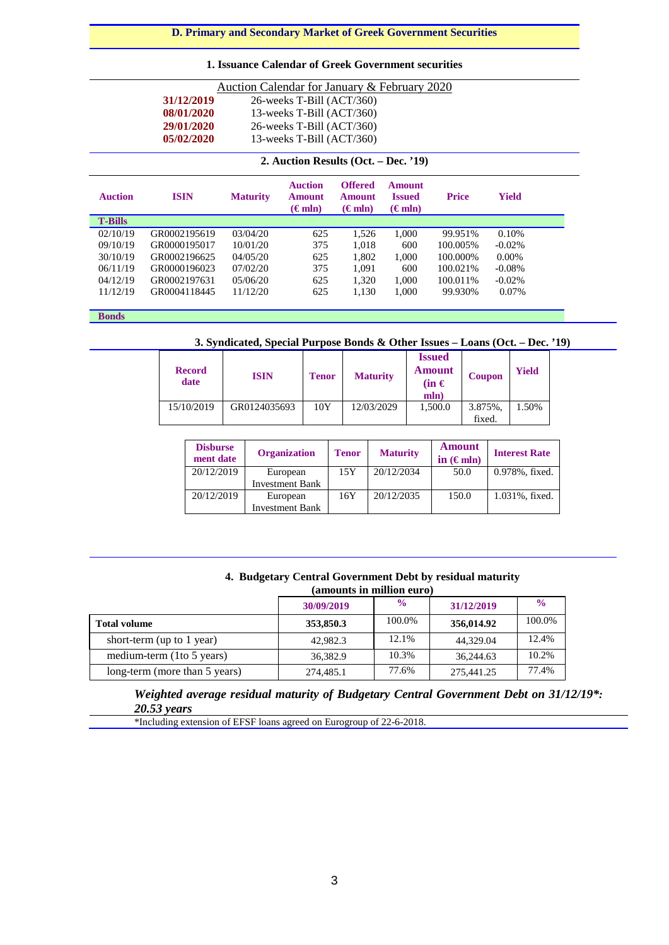### **D. Primary and Secondary Market of Greek Government Securities**

### **1. Issuance Calendar of Greek Government securities**

| Auction Calendar for January & February 2020 |                                         |                 |                                                     |                                            |                                                    |              |              |
|----------------------------------------------|-----------------------------------------|-----------------|-----------------------------------------------------|--------------------------------------------|----------------------------------------------------|--------------|--------------|
|                                              | 31/12/2019<br>26-weeks T-Bill (ACT/360) |                 |                                                     |                                            |                                                    |              |              |
|                                              | 08/01/2020                              |                 | 13-weeks T-Bill $(ACT/360)$                         |                                            |                                                    |              |              |
|                                              | 29/01/2020                              |                 | $26$ -weeks T-Bill $(ACT/360)$                      |                                            |                                                    |              |              |
|                                              | 05/02/2020                              |                 | 13-weeks T-Bill (ACT/360)                           |                                            |                                                    |              |              |
| 2. Auction Results (Oct. – Dec. '19)         |                                         |                 |                                                     |                                            |                                                    |              |              |
| <b>Auction</b>                               | <b>ISIN</b>                             | <b>Maturity</b> | <b>Auction</b><br><b>Amount</b><br>$(\epsilon m n)$ | <b>Offered</b><br>Amount<br>$(\epsilon m)$ | <b>Amount</b><br><b>Issued</b><br>$(\epsilon m n)$ | <b>Price</b> | <b>Yield</b> |
| <b>T-Bills</b>                               |                                         |                 |                                                     |                                            |                                                    |              |              |
| 02/10/19                                     | GR0002195619                            | 03/04/20        | 625                                                 | 1,526                                      | 1,000                                              | 99.951%      | 0.10%        |
| 09/10/19                                     | GR0000195017                            | 10/01/20        | 375                                                 | 1,018                                      | 600                                                | 100.005%     | $-0.02\%$    |
| 30/10/19                                     | GR0002196625                            | 04/05/20        | 625                                                 | 1,802                                      | 1.000                                              | 100.000%     | $0.00\%$     |
|                                              | GR0000196023                            | 07/02/20        | 375                                                 | 1,091                                      | 600                                                | 100.021\%    | $-0.08%$     |
| 06/11/19                                     |                                         |                 |                                                     |                                            |                                                    |              |              |
| 04/12/19                                     | GR0002197631                            | 05/06/20        | 625                                                 | 1,320                                      | 1,000                                              | 100.011%     | $-0.02\%$    |

**Bonds**

### **3. Syndicated, Special Purpose Bonds & Other Issues – Loans (Oct. – Dec. '19)**

| <b>Record</b><br>date | <b>ISIN</b>  | <b>Tenor</b> | <b>Maturity</b> | <b>Issued</b><br><b>Amount</b><br>$(in \in$<br>mln) | <b>Coupon</b> | <b>Yield</b> |  |
|-----------------------|--------------|--------------|-----------------|-----------------------------------------------------|---------------|--------------|--|
| 15/10/2019            | GR0124035693 | 10Y          | 12/03/2029      | 1,500.0                                             | 3.875%.       | 1.50%        |  |
|                       |              |              |                 |                                                     | fixed.        |              |  |

| <b>Disburse</b><br>ment date | <b>Organization</b>    | <b>Tenor</b> | <b>Maturity</b> | <b>Amount</b><br>in $(\epsilon m)$ | <b>Interest Rate</b> |
|------------------------------|------------------------|--------------|-----------------|------------------------------------|----------------------|
| 20/12/2019                   | European               | 15Y          | 20/12/2034      | 50.0                               | 0.978%, fixed.       |
|                              | <b>Investment Bank</b> |              |                 |                                    |                      |
| 20/12/2019                   | European               | 16Y          | 20/12/2035      | 150.0                              | 1.031%, fixed.       |
|                              | <b>Investment Bank</b> |              |                 |                                    |                      |

#### **4. Budgetary Central Government Debt by residual maturity (amounts in million euro)**

|                               | 30/09/2019 | $\frac{6}{6}$ | 31/12/2019 | $\frac{0}{0}$ |
|-------------------------------|------------|---------------|------------|---------------|
| <b>Total volume</b>           | 353,850.3  | 100.0%        | 356,014.92 | 100.0%        |
| short-term (up to $1$ year)   | 42,982.3   | 12.1%         | 44,329.04  | 12.4%         |
| medium-term (1to 5 years)     | 36,382.9   | 10.3%         | 36,244.63  | 10.2%         |
| long-term (more than 5 years) | 274,485.1  | 77.6%         | 275,441.25 | 77.4%         |

*Weighted average residual maturity of Budgetary Central Government Debt on 31/12/19\*: 20.53 years*

\*Ιncluding extension of EFSF loans agreed on Eurogroup of 22-6-2018.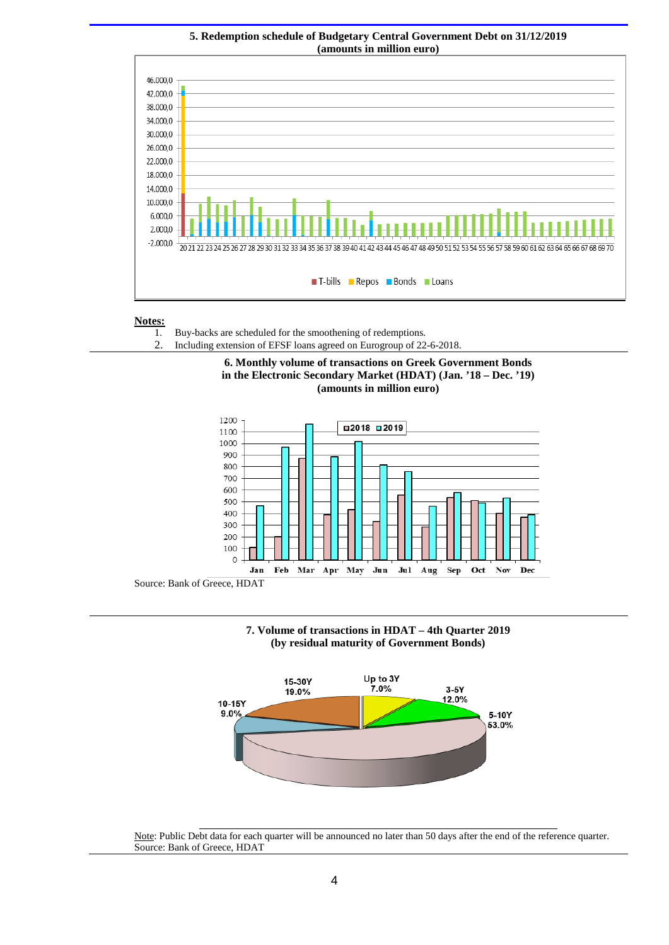

# **5. Redemption schedule of Budgetary Central Government Debt on 31/12/2019**

## **Notes:**

- 1. Buy-backs are scheduled for the smoothening of redemptions*.*
- 2. Including extension of EFSF loans agreed on Eurogroup of 22-6-2018.









Note: Public Debt data for each quarter will be announced no later than 50 days after the end of the reference quarter. Source: Bank of Greece, HDAT